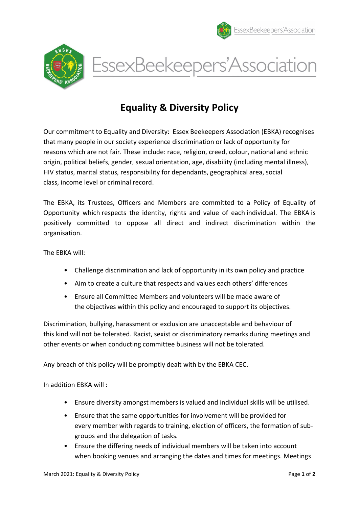





## Equality & Diversity Policy

Our commitment to Equality and Diversity: Essex Beekeepers Association (EBKA) recognises that many people in our society experience discrimination or lack of opportunity for reasons which are not fair. These include: race, religion, creed, colour, national and ethnic origin, political beliefs, gender, sexual orientation, age, disability (including mental illness), HIV status, marital status, responsibility for dependants, geographical area, social class, income level or criminal record.

The EBKA, its Trustees, Officers and Members are committed to a Policy of Equality of Opportunity which respects the identity, rights and value of each individual. The EBKA is positively committed to oppose all direct and indirect discrimination within the organisation.

The EBKA will:

- Challenge discrimination and lack of opportunity in its own policy and practice
- Aim to create a culture that respects and values each others' differences
- Ensure all Committee Members and volunteers will be made aware of the objectives within this policy and encouraged to support its objectives.

Discrimination, bullying, harassment or exclusion are unacceptable and behaviour of this kind will not be tolerated. Racist, sexist or discriminatory remarks during meetings and other events or when conducting committee business will not be tolerated.

Any breach of this policy will be promptly dealt with by the EBKA CEC.

In addition EBKA will :

- Ensure diversity amongst members is valued and individual skills will be utilised.
- Ensure that the same opportunities for involvement will be provided for every member with regards to training, election of officers, the formation of subgroups and the delegation of tasks.
- Ensure the differing needs of individual members will be taken into account when booking venues and arranging the dates and times for meetings. Meetings